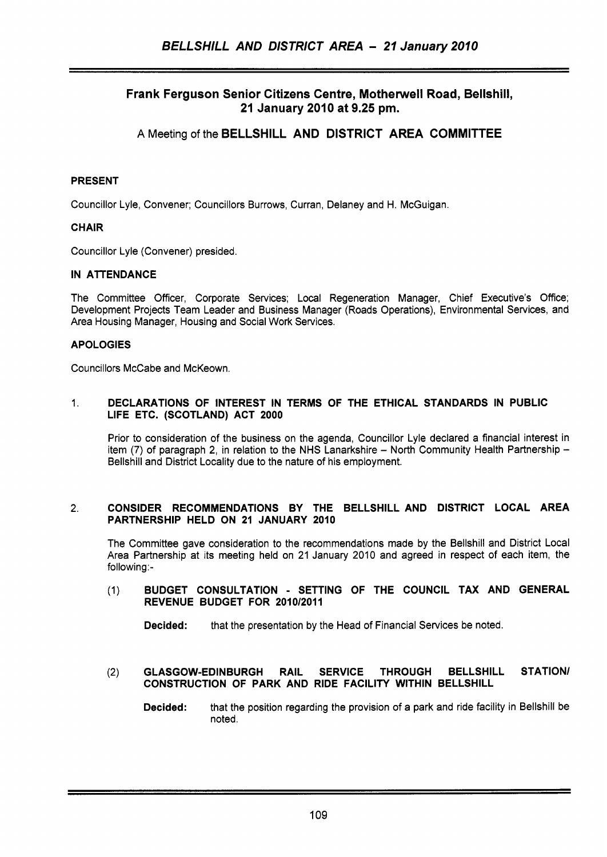# Frank Ferguson Senior Citizens Centre, Motherwell Road, Bellshill, **21** January **2010** at **9.25 pm.**

**A** Meeting **of** the BELLSHILL AND DISTRICT AREA COMMITTEE

## PRESENT

Councillor Lyle, Convener; Councillors Burrows, Curran, Delaney and H. McGuigan.

## CHAIR

Councillor Lyle (Convener) presided.

## IN ATTENDANCE

The Committee Officer, Corporate Services; Local Regeneration Manager, Chief Executive's Office; Development Projects Team Leader and Business Manager (Roads Operations), Environmental Services, and Area Housing Manager, Housing and Social Work Services.

## APOLOGIES

Councillors McCabe and McKeown.

### 1. DECLARATIONS OF INTEREST IN TERMS OF THE ETHICAL STANDARDS IN PUBLIC LIFE ETC. (SCOTLAND) ACT **2000**

Prior to consideration of the business on the agenda, Councillor Lyle declared a financial interest in item (7) of paragraph 2, in relation to the NHS Lanarkshire - North Community Health Partnership -Bellshill and District Locality due to the nature of his employment.

## 2. CONSIDER RECOMMENDATIONS BY THE BELLSHILL AND DISTRICT LOCAL AREA PARTNERSHIP HELD ON **21** JANUARY **2010**

The Committee gave consideration to the recommendations made by the Bellshill and District Local Area Partnership at its meeting held on 21 January 2010 and agreed in respect of each item, the following:-

## (I) BUDGET CONSULTATION - SETTING OF THE COUNCIL TAX AND GENERAL REVENUE BUDGET FOR **2010/2011**

Decided: that the presentation by the Head of Financial Services be noted.

## (2) GLASGOW-EDINBURGH RAIL SERVICE THROUGH BELLSHILL STATION/ CONSTRUCTION OF PARK AND RIDE FACILITY WITHIN BELLSHILL

Decided: that the position regarding the provision of a park and ride facility in Bellshill be noted.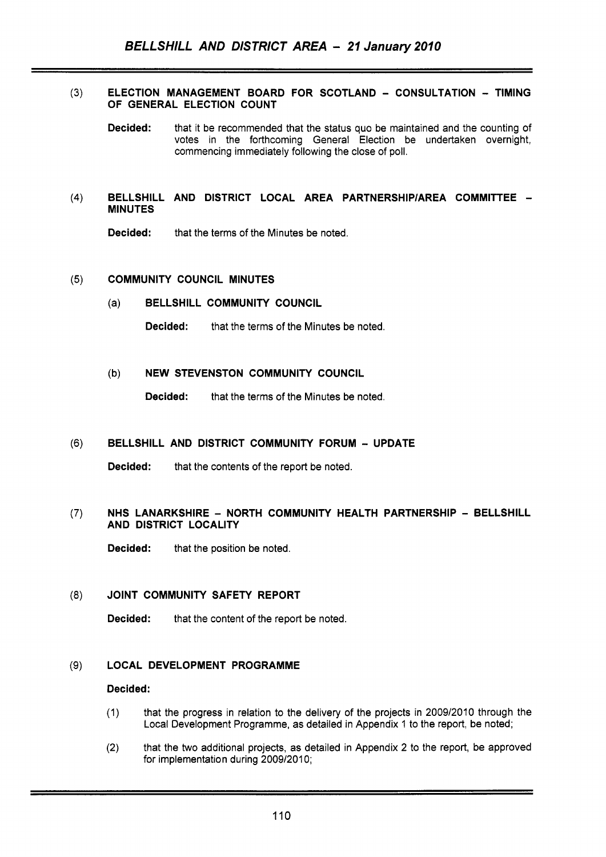### $(3)$ ELECTION MANAGEMENT BOARD FOR SCOTLAND - CONSULTATION - TIMING OF GENERAL ELECTION COUNT

Decided: that it be recommended that the status quo be maintained and the counting of votes in the forthcoming General Election be undertaken overnight, commencing immediately following the close of poll.

### BELLSHILL AND DISTRICT LOCAL AREA PARTNERSHIP/AREA COMMITTEE - $(4)$ **MINUTES**

Decided: that the terms of the Minutes be noted.

#### COMMUNITY COUNCIL MINUTES  $(5)$

(a) BELLSHILL COMMUNITY COUNCIL

**Decided:** that the terms of the Minutes be noted.

### (b) NEW STEVENSTON COMMUNITY COUNCIL

Decided: that the terms of the Minutes be noted.

#### $(6)$ BELLSHILL AND DISTRICT COMMUNITY FORUM - UPDATE

Decided: that the contents of the report be noted.

### NHS LANARKSHIRE - NORTH COMMUNITY HEALTH PARTNERSHIP - BELLSHILL  $(7)$ AND DISTRICT LOCALITY

Decided: that the position be noted.

#### $(8)$ JOINT COMMUNITY SAFETY REPORT

Decided: that the content of the report be noted.

#### $(9)$ LOCAL DEVELOPMENT PROGRAMME

### Decided:

- (1) that the progress in relation to the delivery of the projects in 2009/2010 through the Local Development Programme, as detailed in Appendix 1 to the report, be noted;
- (2) that the two additional projects, as detailed in Appendix 2 to the report, be approved for implementation during 2009/2010;